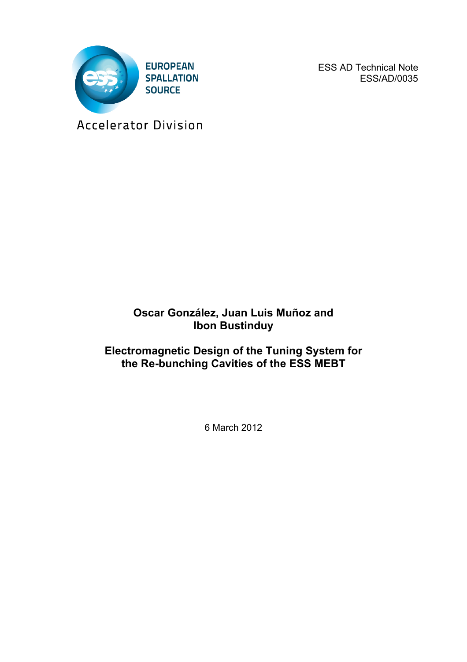

ESS AD Technical Note ESS/AD/0035

Accelerator Division

## **Oscar González, Juan Luis Muñoz and Ibon Bustinduy**

## **Electromagnetic Design of the Tuning System for the Re-bunching Cavities of the ESS MEBT**

6 March 2012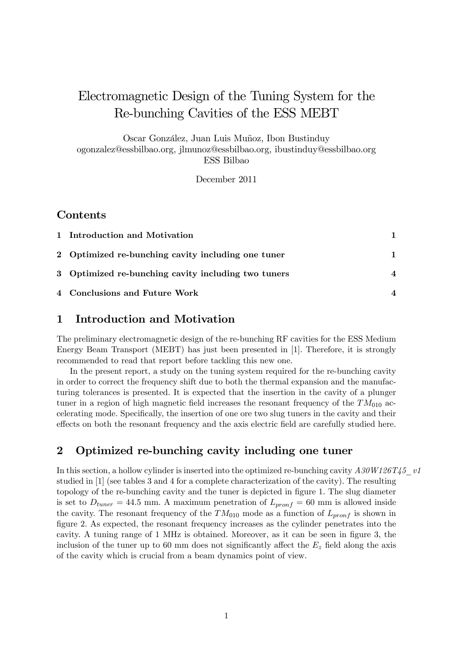# Electromagnetic Design of the Tuning System for the Re-bunching Cavities of the ESS MEBT

Oscar González, Juan Luis Muñoz, Ibon Bustinduy ogonzalez@essbilbao.org, jlmunoz@essbilbao.org, ibustinduy@essbilbao.org

ESS Bilbao

December 2011

#### Contents

| 1 Introduction and Motivation                       |                        |
|-----------------------------------------------------|------------------------|
| 2 Optimized re-bunching cavity including one tuner  |                        |
| 3 Optimized re-bunching cavity including two tuners | $\boldsymbol{\Lambda}$ |
| 4 Conclusions and Future Work                       |                        |

#### 1 Introduction and Motivation

The preliminary electromagnetic design of the re-bunching RF cavities for the ESS Medium Energy Beam Transport (MEBT) has just been presented in [1]. Therefore, it is strongly recommended to read that report before tackling this new one.

In the present report, a study on the tuning system required for the re-bunching cavity in order to correct the frequency shift due to both the thermal expansion and the manufacturing tolerances is presented. It is expected that the insertion in the cavity of a plunger tuner in a region of high magnetic field increases the resonant frequency of the  $TM_{010}$  accelerating mode. Specifically, the insertion of one ore two slug tuners in the cavity and their effects on both the resonant frequency and the axis electric field are carefully studied here.

#### 2 Optimized re-bunching cavity including one tuner

In this section, a hollow cylinder is inserted into the optimized re-bunching cavity  $A30W126T45$  v1 studied in [1] (see tables 3 and 4 for a complete characterization of the cavity). The resulting topology of the re-bunching cavity and the tuner is depicted in figure 1. The slug diameter is set to  $D_{tuner} = 44.5$  mm. A maximum penetration of  $L_{pronf} = 60$  mm is allowed inside the cavity. The resonant frequency of the  $TM_{010}$  mode as a function of  $L_{\nu r\sigma f}$  is shown in Ögure 2. As expected, the resonant frequency increases as the cylinder penetrates into the cavity. A tuning range of 1 MHz is obtained. Moreover, as it can be seen in figure 3, the inclusion of the tuner up to 60 mm does not significantly affect the  $E<sub>z</sub>$  field along the axis of the cavity which is crucial from a beam dynamics point of view.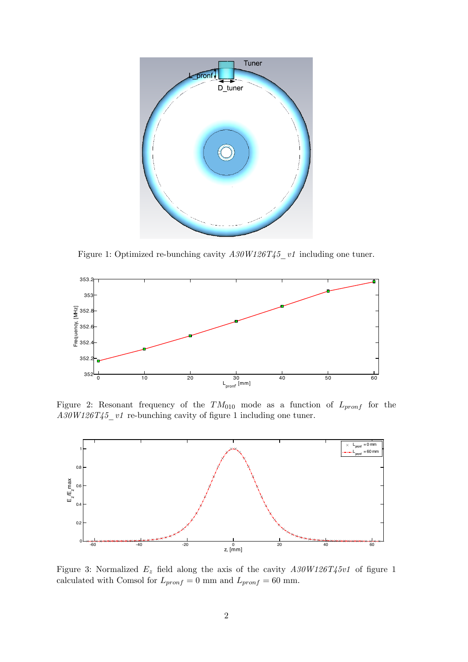

Figure 1: Optimized re-bunching cavity  $A30W126T45$ <sub>\_v1</sub> including one tuner.



Figure 2: Resonant frequency of the  $TM_{010}$  mode as a function of  $L_{pronf}$  for the  $A30W126T45_v1$  re-bunching cavity of figure 1 including one tuner.



Figure 3: Normalized  $E_z$  field along the axis of the cavity  $A30W126T45v1$  of figure 1 calculated with Comsol for  $L_{pronf} = 0$  mm and  $L_{pronf} = 60$  mm.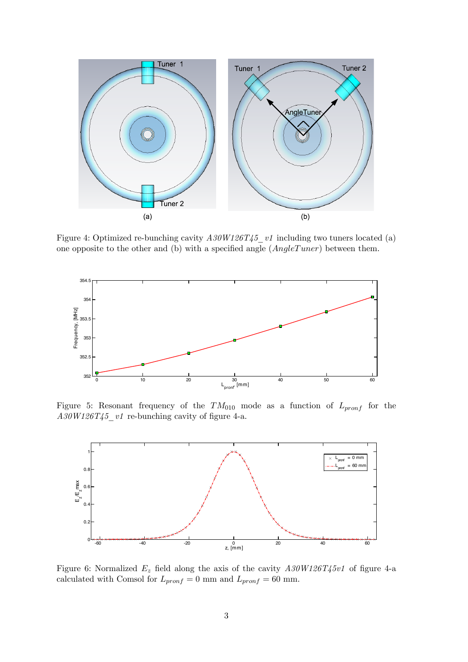

Figure 4: Optimized re-bunching cavity  $A30W126T45$  v1 including two tuners located (a) one opposite to the other and (b) with a specified angle  $(AngleTuner)$  between them.



Figure 5: Resonant frequency of the  $TM_{010}$  mode as a function of  $L_{pronf}$  for the  $A30W126T45$  v1 re-bunching cavity of figure 4-a.



Figure 6: Normalized  $E_z$  field along the axis of the cavity  $A30W126T45v1$  of figure 4-a calculated with Comsol for  $L_{pronf} = 0$  mm and  $L_{pronf} = 60$  mm.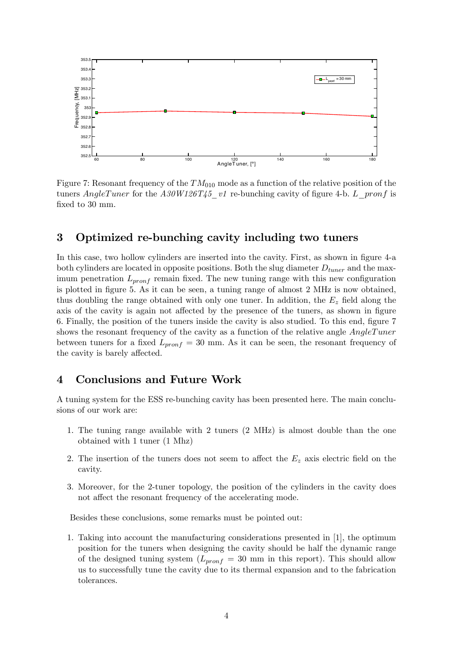

Figure 7: Resonant frequency of the  $TM_{010}$  mode as a function of the relative position of the tuners AngleTuner for the  $A30W126T45_v1$  re-bunching cavity of figure 4-b. L\_pronf is fixed to 30 mm.

#### 3 Optimized re-bunching cavity including two tuners

In this case, two hollow cylinders are inserted into the cavity. First, as shown in figure 4-a both cylinders are located in opposite positions. Both the slug diameter  $D_{tuner}$  and the maximum penetration  $L_{pronf}$  remain fixed. The new tuning range with this new configuration is plotted in figure 5. As it can be seen, a tuning range of almost 2 MHz is now obtained, thus doubling the range obtained with only one tuner. In addition, the  $E_z$  field along the axis of the cavity is again not affected by the presence of the tuners, as shown in figure 6. Finally, the position of the tuners inside the cavity is also studied. To this end, figure 7 shows the resonant frequency of the cavity as a function of the relative angle *AngleTuner* between tuners for a fixed  $L_{pronf} = 30$  mm. As it can be seen, the resonant frequency of the cavity is barely affected.

#### 4 Conclusions and Future Work

A tuning system for the ESS re-bunching cavity has been presented here. The main conclusions of our work are:

- 1. The tuning range available with 2 tuners (2 MHz) is almost double than the one obtained with 1 tuner (1 Mhz)
- 2. The insertion of the tuners does not seem to affect the  $E<sub>z</sub>$  axis electric field on the cavity.
- 3. Moreover, for the 2-tuner topology, the position of the cylinders in the cavity does not affect the resonant frequency of the accelerating mode.

Besides these conclusions, some remarks must be pointed out:

1. Taking into account the manufacturing considerations presented in [1], the optimum position for the tuners when designing the cavity should be half the dynamic range of the designed tuning system  $(L_{\nu r \circ n f} = 30 \text{ mm}$  in this report). This should allow us to successfully tune the cavity due to its thermal expansion and to the fabrication tolerances.